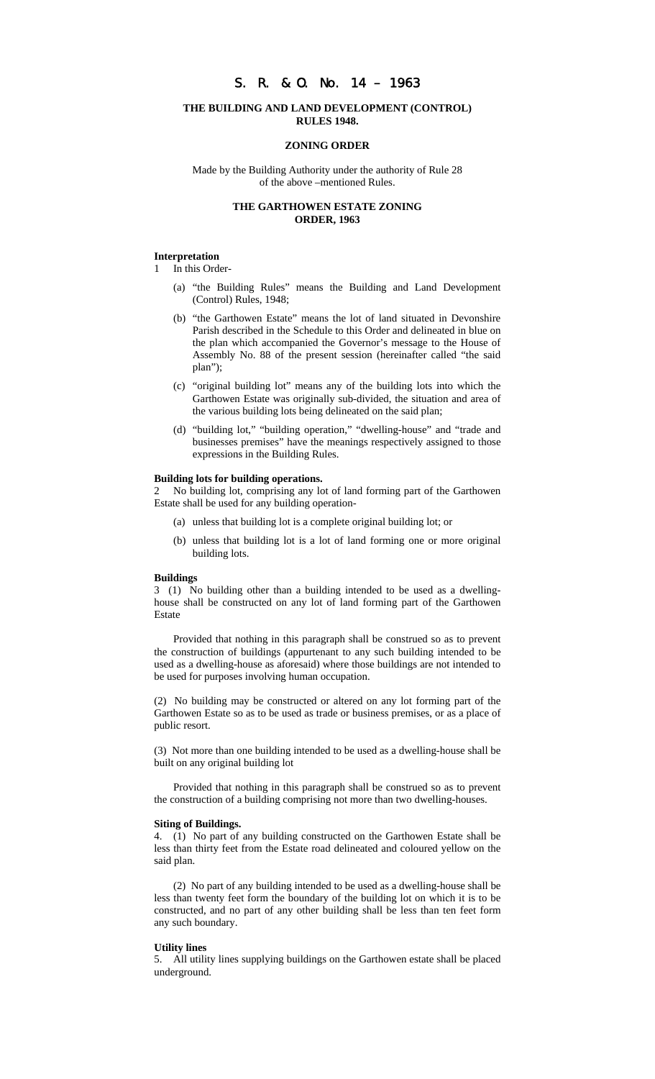# S. R. & O. No. 14 – 1963

### **THE BUILDING AND LAND DEVELOPMENT (CONTROL) RULES 1948.**

### **ZONING ORDER**

Made by the Building Authority under the authority of Rule 28 of the above –mentioned Rules.

## **THE GARTHOWEN ESTATE ZONING ORDER, 1963**

### **Interpretation**

In this Order-

- (a) "the Building Rules" means the Building and Land Development (Control) Rules, 1948;
- (b) "the Garthowen Estate" means the lot of land situated in Devonshire Parish described in the Schedule to this Order and delineated in blue on the plan which accompanied the Governor's message to the House of Assembly No. 88 of the present session (hereinafter called "the said plan");
- (c) "original building lot" means any of the building lots into which the Garthowen Estate was originally sub-divided, the situation and area of the various building lots being delineated on the said plan;
- (d) "building lot," "building operation," "dwelling-house" and "trade and businesses premises" have the meanings respectively assigned to those expressions in the Building Rules.

#### **Building lots for building operations.**

2 No building lot, comprising any lot of land forming part of the Garthowen Estate shall be used for any building operation-

- (a) unless that building lot is a complete original building lot; or
- (b) unless that building lot is a lot of land forming one or more original building lots.

#### **Buildings**

3 (1) No building other than a building intended to be used as a dwellinghouse shall be constructed on any lot of land forming part of the Garthowen Estate

Provided that nothing in this paragraph shall be construed so as to prevent the construction of buildings (appurtenant to any such building intended to be used as a dwelling-house as aforesaid) where those buildings are not intended to be used for purposes involving human occupation.

(2) No building may be constructed or altered on any lot forming part of the Garthowen Estate so as to be used as trade or business premises, or as a place of public resort.

(3) Not more than one building intended to be used as a dwelling-house shall be built on any original building lot

Provided that nothing in this paragraph shall be construed so as to prevent the construction of a building comprising not more than two dwelling-houses.

#### **Siting of Buildings.**

4. (1) No part of any building constructed on the Garthowen Estate shall be less than thirty feet from the Estate road delineated and coloured yellow on the said plan.

(2) No part of any building intended to be used as a dwelling-house shall be less than twenty feet form the boundary of the building lot on which it is to be constructed, and no part of any other building shall be less than ten feet form any such boundary.

#### **Utility lines**

5. All utility lines supplying buildings on the Garthowen estate shall be placed underground.